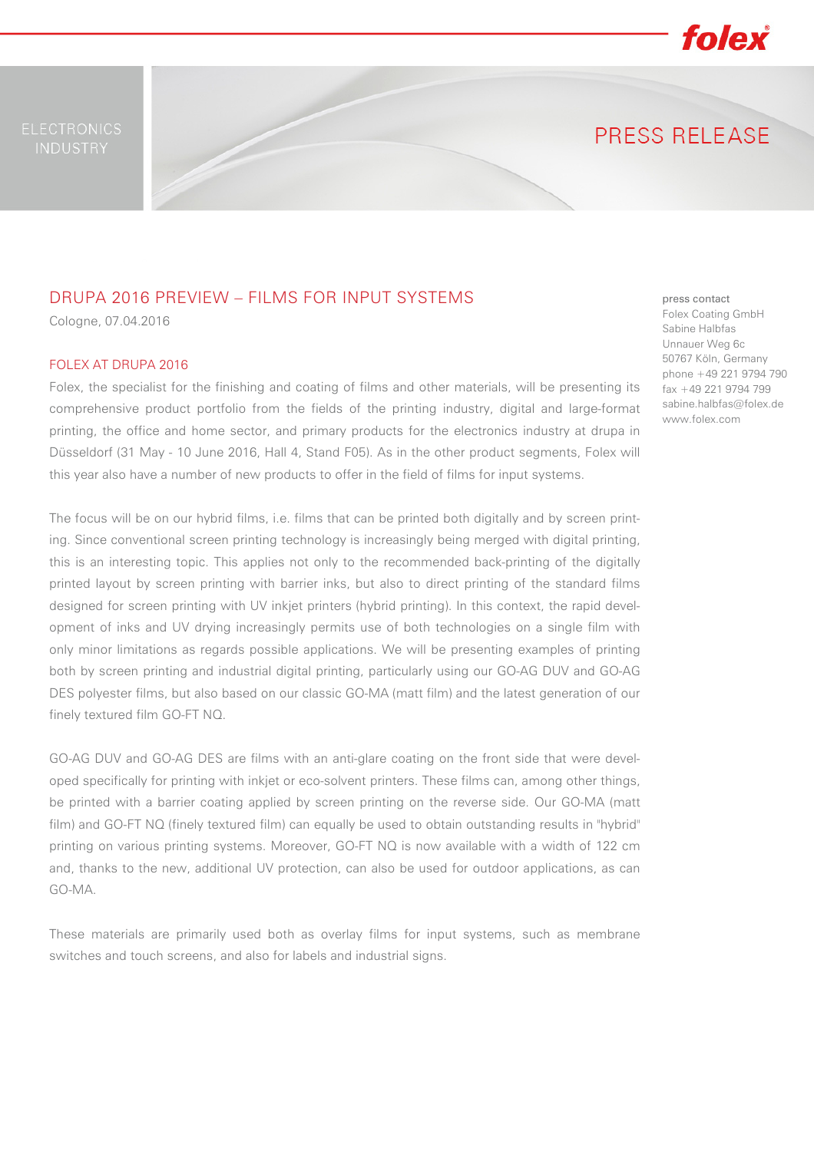

PRESS RELEASE

## DRUPA 2016 PREVIEW – FILMS FOR INPUT SYSTEMS

Cologne, 07.04.2016

### FOLEX AT DRUPA 2016

Folex, the specialist for the finishing and coating of films and other materials, will be presenting its comprehensive product portfolio from the fields of the printing industry, digital and large-format printing, the office and home sector, and primary products for the electronics industry at drupa in Düsseldorf (31 May - 10 June 2016, Hall 4, Stand F05). As in the other product segments, Folex will this year also have a number of new products to offer in the field of films for input systems.

The focus will be on our hybrid films, i.e. films that can be printed both digitally and by screen printing. Since conventional screen printing technology is increasingly being merged with digital printing, this is an interesting topic. This applies not only to the recommended back-printing of the digitally printed layout by screen printing with barrier inks, but also to direct printing of the standard films designed for screen printing with UV inkjet printers (hybrid printing). In this context, the rapid development of inks and UV drying increasingly permits use of both technologies on a single film with only minor limitations as regards possible applications. We will be presenting examples of printing both by screen printing and industrial digital printing, particularly using our GO-AG DUV and GO-AG DES polyester films, but also based on our classic GO-MA (matt film) and the latest generation of our finely textured film GO-FT NQ.

GO-AG DUV and GO-AG DES are films with an anti-glare coating on the front side that were developed specifically for printing with inkjet or eco-solvent printers. These films can, among other things, be printed with a barrier coating applied by screen printing on the reverse side. Our GO-MA (matt film) and GO-FT NQ (finely textured film) can equally be used to obtain outstanding results in "hybrid" printing on various printing systems. Moreover, GO-FT NQ is now available with a width of 122 cm and, thanks to the new, additional UV protection, can also be used for outdoor applications, as can GO-MA.

These materials are primarily used both as overlay films for input systems, such as membrane switches and touch screens, and also for labels and industrial signs.

press contact Folex Coating GmbH Sabine Halbfas Unnauer Weg 6c 50767 Köln, Germany phone +49 221 9794 790 fax +49 221 9794 799 sabine.halbfas@folex.de www.folex.com